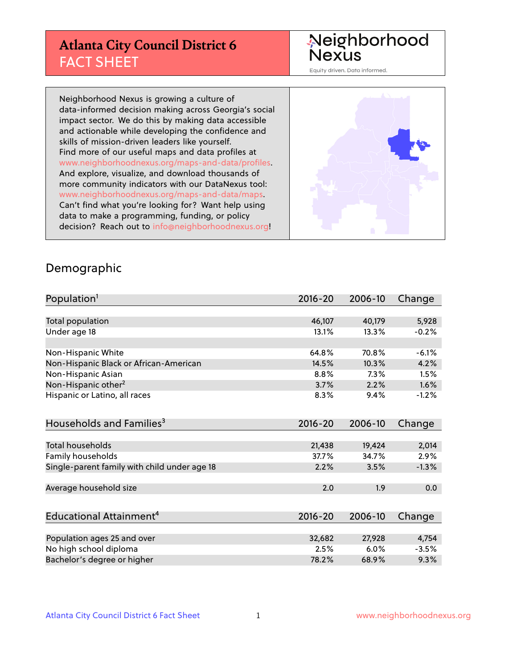# **Atlanta City Council District 6** FACT SHEET

# Neighborhood<br>Nexus

Equity driven. Data informed.

Neighborhood Nexus is growing a culture of data-informed decision making across Georgia's social impact sector. We do this by making data accessible and actionable while developing the confidence and skills of mission-driven leaders like yourself. Find more of our useful maps and data profiles at www.neighborhoodnexus.org/maps-and-data/profiles. And explore, visualize, and download thousands of more community indicators with our DataNexus tool: www.neighborhoodnexus.org/maps-and-data/maps. Can't find what you're looking for? Want help using data to make a programming, funding, or policy decision? Reach out to [info@neighborhoodnexus.org!](mailto:info@neighborhoodnexus.org)



#### Demographic

| Population <sup>1</sup>                      | $2016 - 20$ | 2006-10 | Change  |
|----------------------------------------------|-------------|---------|---------|
|                                              |             |         |         |
| Total population                             | 46,107      | 40,179  | 5,928   |
| Under age 18                                 | 13.1%       | 13.3%   | $-0.2%$ |
|                                              |             |         |         |
| Non-Hispanic White                           | 64.8%       | 70.8%   | $-6.1%$ |
| Non-Hispanic Black or African-American       | 14.5%       | 10.3%   | 4.2%    |
| Non-Hispanic Asian                           | 8.8%        | 7.3%    | 1.5%    |
| Non-Hispanic other <sup>2</sup>              | 3.7%        | 2.2%    | 1.6%    |
| Hispanic or Latino, all races                | 8.3%        | 9.4%    | $-1.2%$ |
|                                              |             |         |         |
| Households and Families <sup>3</sup>         | $2016 - 20$ | 2006-10 | Change  |
|                                              |             |         |         |
| <b>Total households</b>                      | 21,438      | 19,424  | 2,014   |
| Family households                            | 37.7%       | 34.7%   | 2.9%    |
| Single-parent family with child under age 18 | 2.2%        | 3.5%    | $-1.3%$ |
|                                              |             |         |         |
| Average household size                       | 2.0         | 1.9     | 0.0     |
|                                              |             |         |         |
| Educational Attainment <sup>4</sup>          | $2016 - 20$ | 2006-10 | Change  |
|                                              |             |         |         |
| Population ages 25 and over                  | 32,682      | 27,928  | 4,754   |
| No high school diploma                       | 2.5%        | 6.0%    | $-3.5%$ |
| Bachelor's degree or higher                  | 78.2%       | 68.9%   | 9.3%    |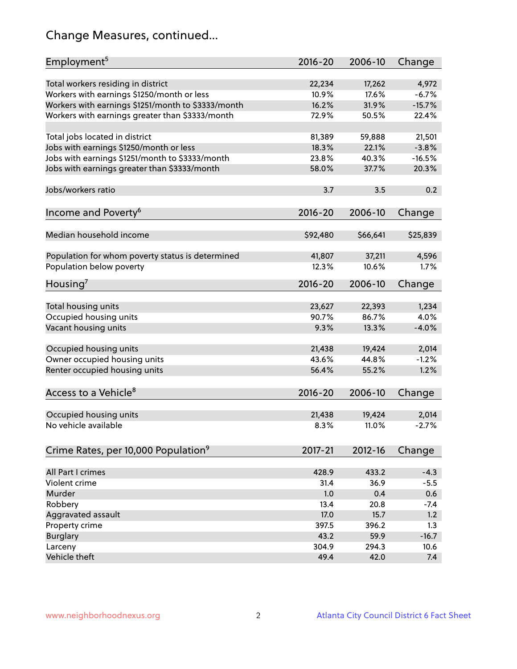# Change Measures, continued...

| Employment <sup>5</sup>                            | $2016 - 20$     | 2006-10         | Change           |
|----------------------------------------------------|-----------------|-----------------|------------------|
|                                                    |                 |                 |                  |
| Total workers residing in district                 | 22,234          | 17,262<br>17.6% | 4,972            |
| Workers with earnings \$1250/month or less         | 10.9%           |                 | $-6.7%$          |
| Workers with earnings \$1251/month to \$3333/month | 16.2%           | 31.9%           | $-15.7%$         |
| Workers with earnings greater than \$3333/month    | 72.9%           | 50.5%           | 22.4%            |
| Total jobs located in district                     | 81,389          | 59,888          | 21,501           |
| Jobs with earnings \$1250/month or less            | 18.3%           | 22.1%           | $-3.8%$          |
| Jobs with earnings \$1251/month to \$3333/month    | 23.8%           | 40.3%           | $-16.5%$         |
| Jobs with earnings greater than \$3333/month       | 58.0%           | 37.7%           | 20.3%            |
|                                                    |                 |                 |                  |
| Jobs/workers ratio                                 | 3.7             | 3.5             | 0.2              |
|                                                    |                 |                 |                  |
| Income and Poverty <sup>6</sup>                    | 2016-20         | 2006-10         | Change           |
|                                                    |                 |                 |                  |
| Median household income                            | \$92,480        | \$66,641        | \$25,839         |
| Population for whom poverty status is determined   | 41,807          | 37,211          | 4,596            |
| Population below poverty                           | 12.3%           | 10.6%           | 1.7%             |
|                                                    |                 |                 |                  |
| Housing <sup>7</sup>                               | $2016 - 20$     | 2006-10         | Change           |
|                                                    |                 |                 |                  |
| Total housing units                                | 23,627          | 22,393          | 1,234            |
| Occupied housing units                             | 90.7%           | 86.7%           | 4.0%             |
| Vacant housing units                               | 9.3%            | 13.3%           | $-4.0%$          |
| Occupied housing units                             |                 |                 |                  |
|                                                    | 21,438<br>43.6% | 19,424<br>44.8% | 2,014<br>$-1.2%$ |
| Owner occupied housing units                       |                 |                 |                  |
| Renter occupied housing units                      | 56.4%           | 55.2%           | 1.2%             |
| Access to a Vehicle <sup>8</sup>                   | $2016 - 20$     | 2006-10         |                  |
|                                                    |                 |                 | Change           |
| Occupied housing units                             | 21,438          | 19,424          | 2,014            |
| No vehicle available                               | 8.3%            | 11.0%           | $-2.7%$          |
|                                                    |                 |                 |                  |
| Crime Rates, per 10,000 Population <sup>9</sup>    | 2017-21         | 2012-16         | Change           |
|                                                    |                 |                 |                  |
| All Part I crimes                                  | 428.9           | 433.2           | $-4.3$           |
| Violent crime                                      | 31.4            | 36.9            | $-5.5$           |
| Murder                                             | 1.0             | 0.4             | 0.6              |
| Robbery                                            | 13.4            | 20.8            | $-7.4$           |
| Aggravated assault                                 | 17.0            | 15.7            | 1.2              |
| Property crime                                     | 397.5           | 396.2           | 1.3              |
| <b>Burglary</b>                                    | 43.2            | 59.9            | $-16.7$          |
| Larceny                                            | 304.9           | 294.3           | 10.6             |
| Vehicle theft                                      | 49.4            | 42.0            | 7.4              |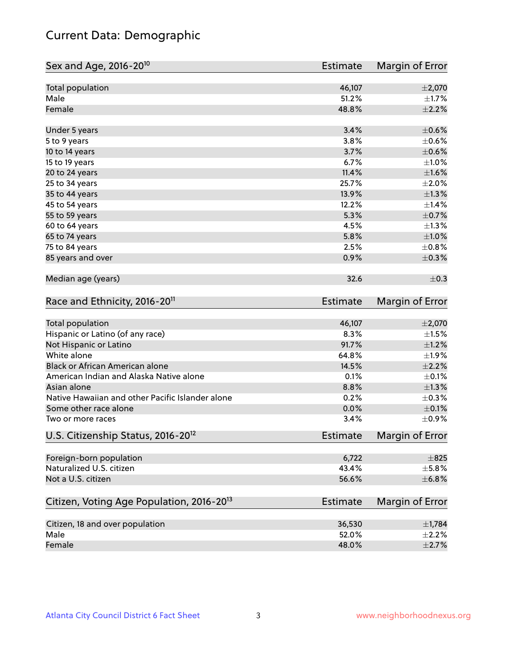# Current Data: Demographic

| Sex and Age, 2016-20 <sup>10</sup>                    | <b>Estimate</b> | Margin of Error |
|-------------------------------------------------------|-----------------|-----------------|
| Total population                                      | 46,107          | $\pm 2,070$     |
| Male                                                  | 51.2%           | $\pm 1.7\%$     |
| Female                                                | 48.8%           | $\pm 2.2\%$     |
| Under 5 years                                         | 3.4%            | $\pm$ 0.6%      |
| 5 to 9 years                                          | 3.8%            | $\pm$ 0.6%      |
| 10 to 14 years                                        | 3.7%            | $\pm$ 0.6%      |
| 15 to 19 years                                        | 6.7%            | $\pm 1.0\%$     |
| 20 to 24 years                                        | 11.4%           | $\pm1.6\%$      |
| 25 to 34 years                                        | 25.7%           | $\pm 2.0\%$     |
| 35 to 44 years                                        | 13.9%           | $\pm 1.3\%$     |
| 45 to 54 years                                        | 12.2%           | $\pm$ 1.4%      |
| 55 to 59 years                                        | 5.3%            | $\pm$ 0.7%      |
| 60 to 64 years                                        | 4.5%            | $\pm 1.3\%$     |
| 65 to 74 years                                        | 5.8%            | $\pm1.0\%$      |
| 75 to 84 years                                        | 2.5%            | ±0.8%           |
| 85 years and over                                     | 0.9%            | $\pm$ 0.3%      |
| Median age (years)                                    | 32.6            | $\pm$ 0.3       |
| Race and Ethnicity, 2016-20 <sup>11</sup>             | <b>Estimate</b> | Margin of Error |
| <b>Total population</b>                               | 46,107          | $\pm 2,070$     |
| Hispanic or Latino (of any race)                      | 8.3%            | $\pm 1.5\%$     |
| Not Hispanic or Latino                                | 91.7%           | $\pm 1.2\%$     |
| White alone                                           | 64.8%           | $\pm 1.9\%$     |
| Black or African American alone                       | 14.5%           | $\pm 2.2\%$     |
| American Indian and Alaska Native alone               | 0.1%            | $\pm$ 0.1%      |
| Asian alone                                           | 8.8%            | $\pm 1.3\%$     |
| Native Hawaiian and other Pacific Islander alone      | 0.2%            | $\pm$ 0.3%      |
| Some other race alone                                 | 0.0%            | $\pm$ 0.1%      |
| Two or more races                                     | 3.4%            | $\pm$ 0.9%      |
| U.S. Citizenship Status, 2016-20 <sup>12</sup>        | <b>Estimate</b> | Margin of Error |
| Foreign-born population                               | 6,722           | $\pm$ 825       |
| Naturalized U.S. citizen                              | 43.4%           | ±5.8%           |
| Not a U.S. citizen                                    | 56.6%           | ±6.8%           |
| Citizen, Voting Age Population, 2016-20 <sup>13</sup> | <b>Estimate</b> | Margin of Error |
| Citizen, 18 and over population                       | 36,530          | $\pm$ 1,784     |
| Male                                                  | 52.0%           | $\pm 2.2\%$     |
| Female                                                | 48.0%           | $\pm 2.7\%$     |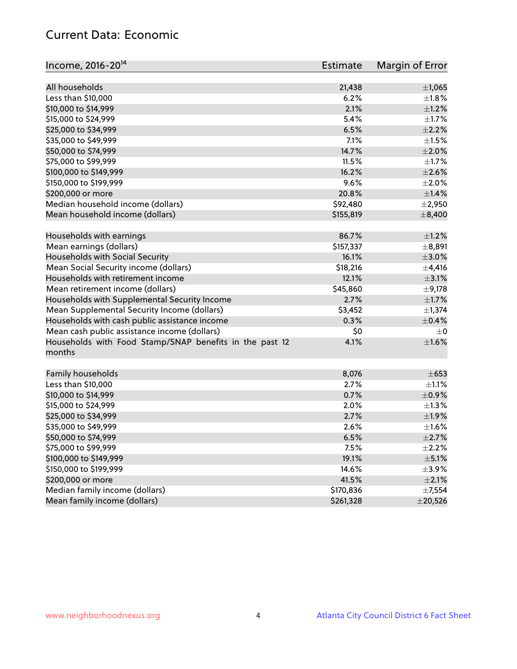# Current Data: Economic

| Income, 2016-20 <sup>14</sup>                           | Estimate  | Margin of Error |
|---------------------------------------------------------|-----------|-----------------|
|                                                         |           |                 |
| All households                                          | 21,438    | ±1,065          |
| Less than \$10,000                                      | 6.2%      | $\pm1.8\%$      |
| \$10,000 to \$14,999                                    | 2.1%      | $\pm 1.2\%$     |
| \$15,000 to \$24,999                                    | 5.4%      | $\pm$ 1.7%      |
| \$25,000 to \$34,999                                    | 6.5%      | $\pm 2.2\%$     |
| \$35,000 to \$49,999                                    | 7.1%      | $\pm 1.5\%$     |
| \$50,000 to \$74,999                                    | 14.7%     | $\pm 2.0\%$     |
| \$75,000 to \$99,999                                    | 11.5%     | $\pm 1.7\%$     |
| \$100,000 to \$149,999                                  | 16.2%     | $\pm 2.6\%$     |
| \$150,000 to \$199,999                                  | 9.6%      | $\pm 2.0\%$     |
| \$200,000 or more                                       | 20.8%     | ±1.4%           |
| Median household income (dollars)                       | \$92,480  | $\pm 2,950$     |
| Mean household income (dollars)                         | \$155,819 | $\pm$ 8,400     |
| Households with earnings                                | 86.7%     | $\pm 1.2\%$     |
| Mean earnings (dollars)                                 | \$157,337 | ±8,891          |
| Households with Social Security                         | 16.1%     | $\pm 3.0\%$     |
| Mean Social Security income (dollars)                   | \$18,216  | $\pm$ 4,416     |
| Households with retirement income                       | 12.1%     | $\pm$ 3.1%      |
| Mean retirement income (dollars)                        | \$45,860  | $\pm$ 9,178     |
| Households with Supplemental Security Income            | 2.7%      | $\pm1.7\%$      |
| Mean Supplemental Security Income (dollars)             | \$3,452   | $\pm$ 1,374     |
| Households with cash public assistance income           | 0.3%      | $\pm$ 0.4%      |
| Mean cash public assistance income (dollars)            | \$0       | $\pm 0$         |
| Households with Food Stamp/SNAP benefits in the past 12 | 4.1%      | $\pm1.6\%$      |
| months                                                  |           |                 |
| Family households                                       | 8,076     | $\pm 653$       |
| Less than \$10,000                                      | 2.7%      | $\pm 1.1\%$     |
| \$10,000 to \$14,999                                    | 0.7%      | $\pm$ 0.9%      |
| \$15,000 to \$24,999                                    | 2.0%      | $\pm 1.3\%$     |
| \$25,000 to \$34,999                                    | 2.7%      | $\pm$ 1.9%      |
| \$35,000 to \$49,999                                    | 2.6%      | $\pm 1.6\%$     |
| \$50,000 to \$74,999                                    | 6.5%      | $\pm 2.7\%$     |
| \$75,000 to \$99,999                                    | 7.5%      | $\pm 2.2\%$     |
| \$100,000 to \$149,999                                  | 19.1%     | $\pm$ 5.1%      |
| \$150,000 to \$199,999                                  | 14.6%     | $\pm$ 3.9%      |
| \$200,000 or more                                       | 41.5%     | $\pm 2.1\%$     |
| Median family income (dollars)                          | \$170,836 | $\pm$ 7,554     |
| Mean family income (dollars)                            | \$261,328 | $±$ 20,526      |
|                                                         |           |                 |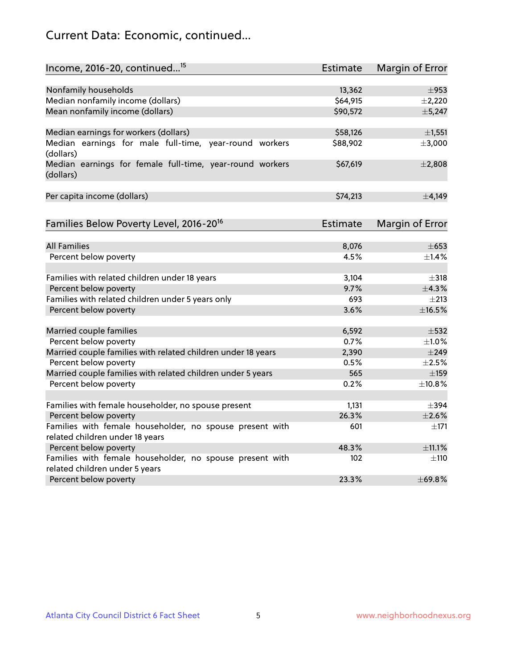# Current Data: Economic, continued...

| Income, 2016-20, continued <sup>15</sup>                                                   | <b>Estimate</b> | <b>Margin of Error</b> |
|--------------------------------------------------------------------------------------------|-----------------|------------------------|
|                                                                                            |                 |                        |
| Nonfamily households                                                                       | 13,362          | $\pm$ 953              |
| Median nonfamily income (dollars)                                                          | \$64,915        | $\pm$ 2,220            |
| Mean nonfamily income (dollars)                                                            | \$90,572        | ±5,247                 |
| Median earnings for workers (dollars)                                                      | \$58,126        | ±1,551                 |
| Median earnings for male full-time, year-round workers<br>(dollars)                        | \$88,902        | ±3,000                 |
| Median earnings for female full-time, year-round workers<br>(dollars)                      | \$67,619        | ±2,808                 |
| Per capita income (dollars)                                                                | \$74,213        | $\pm$ 4,149            |
| Families Below Poverty Level, 2016-20 <sup>16</sup>                                        | <b>Estimate</b> | Margin of Error        |
|                                                                                            |                 |                        |
| <b>All Families</b>                                                                        | 8,076           | $\pm$ 653              |
| Percent below poverty                                                                      | 4.5%            | $\pm$ 1.4%             |
| Families with related children under 18 years                                              | 3,104           | $\pm$ 318              |
| Percent below poverty                                                                      | 9.7%            | ±4.3%                  |
| Families with related children under 5 years only                                          | 693             | $\pm 213$              |
| Percent below poverty                                                                      | 3.6%            | ±16.5%                 |
| Married couple families                                                                    | 6,592           | $\pm$ 532              |
| Percent below poverty                                                                      | 0.7%            | $\pm 1.0\%$            |
| Married couple families with related children under 18 years                               | 2,390           | $\pm$ 249              |
| Percent below poverty                                                                      | 0.5%            | $\pm 2.5\%$            |
| Married couple families with related children under 5 years                                | 565             | $\pm$ 159              |
| Percent below poverty                                                                      | 0.2%            | ±10.8%                 |
|                                                                                            |                 |                        |
| Families with female householder, no spouse present                                        | 1,131           | $\pm$ 394              |
| Percent below poverty                                                                      | 26.3%           | $\pm 2.6\%$            |
| Families with female householder, no spouse present with                                   | 601             | $\pm$ 171              |
| related children under 18 years                                                            |                 |                        |
| Percent below poverty                                                                      | 48.3%           | ±11.1%                 |
| Families with female householder, no spouse present with<br>related children under 5 years | 102             | $\pm$ 110              |
| Percent below poverty                                                                      | 23.3%           | ±69.8%                 |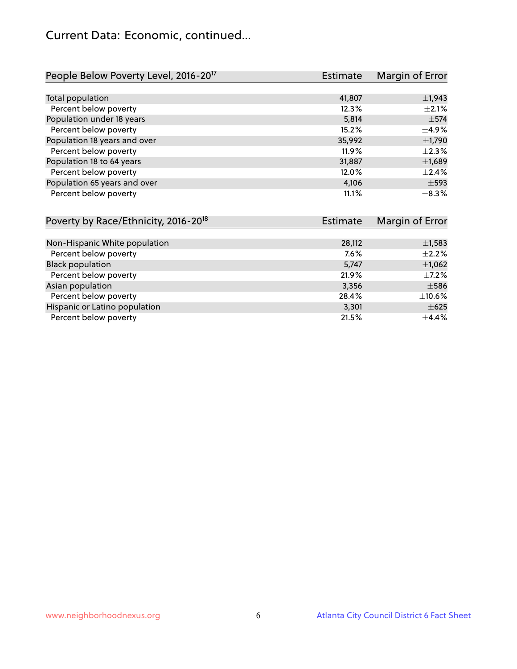## Current Data: Economic, continued...

| People Below Poverty Level, 2016-20 <sup>17</sup> | <b>Estimate</b> | Margin of Error |
|---------------------------------------------------|-----------------|-----------------|
|                                                   |                 |                 |
| Total population                                  | 41,807          | $\pm$ 1,943     |
| Percent below poverty                             | 12.3%           | $\pm 2.1\%$     |
| Population under 18 years                         | 5,814           | $\pm$ 574       |
| Percent below poverty                             | 15.2%           | $\pm$ 4.9%      |
| Population 18 years and over                      | 35,992          | $\pm$ 1,790     |
| Percent below poverty                             | 11.9%           | $\pm 2.3\%$     |
| Population 18 to 64 years                         | 31,887          | $\pm$ 1,689     |
| Percent below poverty                             | 12.0%           | $\pm 2.4\%$     |
| Population 65 years and over                      | 4,106           | $\pm$ 593       |
| Percent below poverty                             | 11.1%           | $\pm$ 8.3%      |

| Poverty by Race/Ethnicity, 2016-20 <sup>18</sup> | Estimate | Margin of Error |
|--------------------------------------------------|----------|-----------------|
|                                                  |          |                 |
| Non-Hispanic White population                    | 28,112   | $\pm$ 1,583     |
| Percent below poverty                            | 7.6%     | $\pm 2.2\%$     |
| <b>Black population</b>                          | 5,747    | $\pm$ 1,062     |
| Percent below poverty                            | 21.9%    | $\pm$ 7.2%      |
| Asian population                                 | 3,356    | $\pm$ 586       |
| Percent below poverty                            | 28.4%    | $\pm$ 10.6%     |
| Hispanic or Latino population                    | 3,301    | $\pm 625$       |
| Percent below poverty                            | 21.5%    | $\pm$ 4.4%      |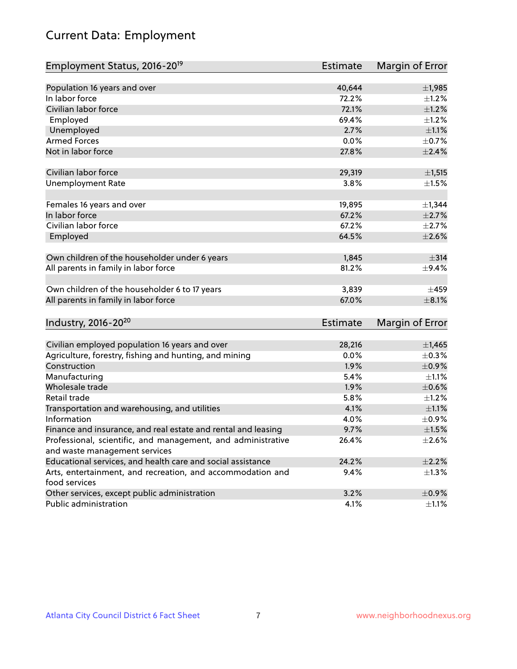# Current Data: Employment

| Employment Status, 2016-20 <sup>19</sup>                      | <b>Estimate</b> | Margin of Error |
|---------------------------------------------------------------|-----------------|-----------------|
|                                                               |                 |                 |
| Population 16 years and over                                  | 40,644          | $\pm$ 1,985     |
| In labor force                                                | 72.2%           | $\pm$ 1.2%      |
| Civilian labor force                                          | 72.1%           | $\pm 1.2\%$     |
| Employed                                                      | 69.4%           | $\pm 1.2\%$     |
| Unemployed                                                    | 2.7%            | $\pm 1.1\%$     |
| <b>Armed Forces</b>                                           | 0.0%            | $\pm$ 0.7%      |
| Not in labor force                                            | 27.8%           | $\pm 2.4\%$     |
| Civilian labor force                                          | 29,319          | ±1,515          |
| <b>Unemployment Rate</b>                                      | 3.8%            | $\pm 1.5\%$     |
|                                                               |                 |                 |
| Females 16 years and over                                     | 19,895          | $\pm$ 1,344     |
| In labor force                                                | 67.2%           | $\pm 2.7\%$     |
| Civilian labor force                                          | 67.2%           | $\pm 2.7\%$     |
| Employed                                                      | 64.5%           | $\pm 2.6\%$     |
|                                                               | 1,845           |                 |
| Own children of the householder under 6 years                 |                 | $\pm$ 314       |
| All parents in family in labor force                          | 81.2%           | $\pm$ 9.4%      |
| Own children of the householder 6 to 17 years                 | 3,839           | $\pm 459$       |
| All parents in family in labor force                          | 67.0%           | $\pm 8.1\%$     |
|                                                               |                 |                 |
| Industry, 2016-20 <sup>20</sup>                               | <b>Estimate</b> | Margin of Error |
| Civilian employed population 16 years and over                | 28,216          | $\pm$ 1,465     |
| Agriculture, forestry, fishing and hunting, and mining        | 0.0%            | $\pm$ 0.3%      |
| Construction                                                  | 1.9%            | $\pm$ 0.9%      |
| Manufacturing                                                 | 5.4%            | $\pm 1.1\%$     |
| Wholesale trade                                               | 1.9%            | $\pm$ 0.6%      |
| Retail trade                                                  | 5.8%            | ±1.2%           |
| Transportation and warehousing, and utilities                 | 4.1%            | $\pm 1.1\%$     |
| Information                                                   | 4.0%            | $\pm$ 0.9%      |
| Finance and insurance, and real estate and rental and leasing | 9.7%            | $\pm 1.5\%$     |
| Professional, scientific, and management, and administrative  | 26.4%           | $\pm 2.6\%$     |
| and waste management services                                 |                 |                 |
| Educational services, and health care and social assistance   | 24.2%           | $\pm 2.2\%$     |
| Arts, entertainment, and recreation, and accommodation and    | 9.4%            | $\pm 1.3\%$     |
| food services                                                 |                 |                 |
| Other services, except public administration                  | 3.2%            | $\pm$ 0.9%      |
| Public administration                                         | 4.1%            | $\pm 1.1\%$     |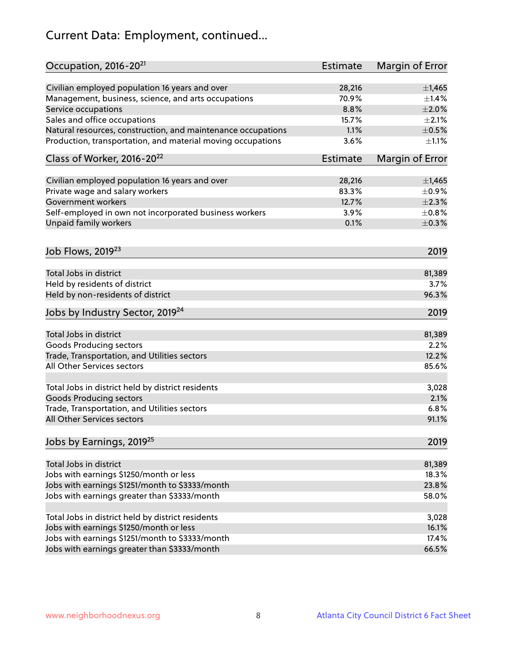# Current Data: Employment, continued...

| Occupation, 2016-20 <sup>21</sup>                            | Estimate | Margin of Error |
|--------------------------------------------------------------|----------|-----------------|
| Civilian employed population 16 years and over               | 28,216   | $\pm$ 1,465     |
| Management, business, science, and arts occupations          | 70.9%    | ±1.4%           |
| Service occupations                                          | 8.8%     | $\pm 2.0\%$     |
| Sales and office occupations                                 | 15.7%    | $\pm 2.1\%$     |
| Natural resources, construction, and maintenance occupations | 1.1%     | $\pm$ 0.5%      |
| Production, transportation, and material moving occupations  | 3.6%     | $\pm 1.1\%$     |
| Class of Worker, 2016-20 <sup>22</sup>                       | Estimate | Margin of Error |
| Civilian employed population 16 years and over               | 28,216   | $\pm$ 1,465     |
| Private wage and salary workers                              | 83.3%    | $\pm$ 0.9%      |
| Government workers                                           | 12.7%    | $\pm 2.3\%$     |
| Self-employed in own not incorporated business workers       | 3.9%     | $\pm$ 0.8%      |
| Unpaid family workers                                        | 0.1%     | $\pm$ 0.3%      |
|                                                              |          |                 |
| Job Flows, 2019 <sup>23</sup>                                |          | 2019            |
| Total Jobs in district                                       |          | 81,389          |
| Held by residents of district                                |          | 3.7%            |
| Held by non-residents of district                            |          | 96.3%           |
| Jobs by Industry Sector, 2019 <sup>24</sup>                  |          | 2019            |
| Total Jobs in district                                       |          | 81,389          |
| <b>Goods Producing sectors</b>                               |          | 2.2%            |
| Trade, Transportation, and Utilities sectors                 |          | 12.2%           |
| All Other Services sectors                                   |          | 85.6%           |
|                                                              |          |                 |
| Total Jobs in district held by district residents            |          | 3,028           |
| <b>Goods Producing sectors</b>                               |          | 2.1%            |
| Trade, Transportation, and Utilities sectors                 |          | 6.8%            |
| All Other Services sectors                                   |          | 91.1%           |
| Jobs by Earnings, 2019 <sup>25</sup>                         |          | 2019            |
| Total Jobs in district                                       |          | 81,389          |
| Jobs with earnings \$1250/month or less                      |          | 18.3%           |
| Jobs with earnings \$1251/month to \$3333/month              |          | 23.8%           |
|                                                              |          | 58.0%           |
| Jobs with earnings greater than \$3333/month                 |          |                 |
| Total Jobs in district held by district residents            |          | 3,028           |
| Jobs with earnings \$1250/month or less                      |          | 16.1%           |
| Jobs with earnings \$1251/month to \$3333/month              |          | 17.4%           |
| Jobs with earnings greater than \$3333/month                 |          | 66.5%           |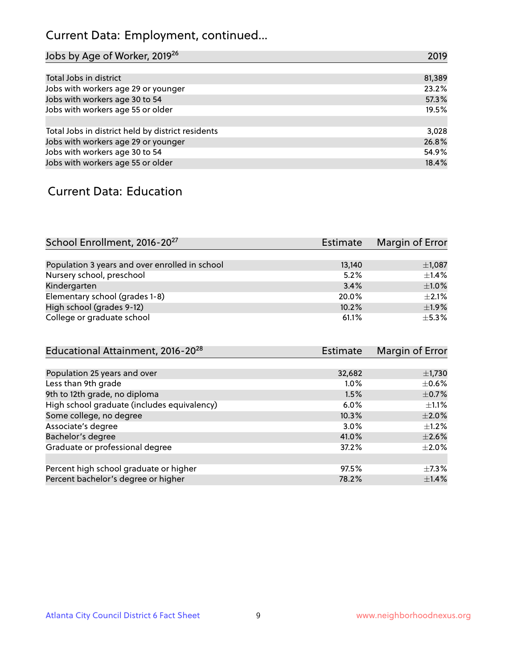# Current Data: Employment, continued...

| Jobs by Age of Worker, 2019 <sup>26</sup>         | 2019   |
|---------------------------------------------------|--------|
|                                                   |        |
| Total Jobs in district                            | 81,389 |
| Jobs with workers age 29 or younger               | 23.2%  |
| Jobs with workers age 30 to 54                    | 57.3%  |
| Jobs with workers age 55 or older                 | 19.5%  |
|                                                   |        |
| Total Jobs in district held by district residents | 3,028  |
| Jobs with workers age 29 or younger               | 26.8%  |
| Jobs with workers age 30 to 54                    | 54.9%  |
| Jobs with workers age 55 or older                 | 18.4%  |

#### Current Data: Education

| School Enrollment, 2016-20 <sup>27</sup>       | Estimate | Margin of Error |
|------------------------------------------------|----------|-----------------|
|                                                |          |                 |
| Population 3 years and over enrolled in school | 13,140   | $\pm$ 1,087     |
| Nursery school, preschool                      | 5.2%     | $\pm$ 1.4%      |
| Kindergarten                                   | 3.4%     | $\pm 1.0\%$     |
| Elementary school (grades 1-8)                 | 20.0%    | $\pm 2.1\%$     |
| High school (grades 9-12)                      | 10.2%    | ±1.9%           |
| College or graduate school                     | 61.1%    | $+5.3%$         |

| Educational Attainment, 2016-20 <sup>28</sup> | <b>Estimate</b> | Margin of Error |
|-----------------------------------------------|-----------------|-----------------|
|                                               |                 |                 |
| Population 25 years and over                  | 32,682          | $\pm$ 1,730     |
| Less than 9th grade                           | 1.0%            | $\pm$ 0.6%      |
| 9th to 12th grade, no diploma                 | 1.5%            | $\pm$ 0.7%      |
| High school graduate (includes equivalency)   | 6.0%            | $\pm 1.1\%$     |
| Some college, no degree                       | 10.3%           | $\pm 2.0\%$     |
| Associate's degree                            | 3.0%            | $\pm 1.2\%$     |
| Bachelor's degree                             | 41.0%           | $\pm 2.6\%$     |
| Graduate or professional degree               | 37.2%           | $\pm 2.0\%$     |
|                                               |                 |                 |
| Percent high school graduate or higher        | 97.5%           | $\pm$ 7.3%      |
| Percent bachelor's degree or higher           | 78.2%           | $\pm$ 1.4%      |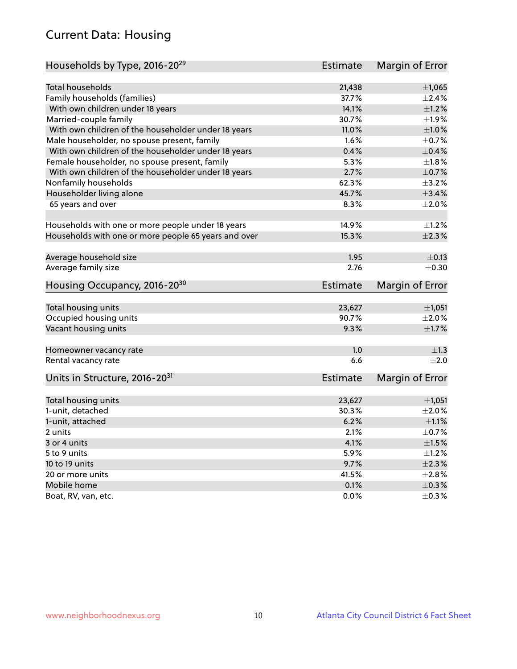# Current Data: Housing

| Households by Type, 2016-20 <sup>29</sup>            | Estimate        | Margin of Error        |
|------------------------------------------------------|-----------------|------------------------|
|                                                      |                 |                        |
| Total households                                     | 21,438          | $\pm$ 1,065            |
| Family households (families)                         | 37.7%           | $+2.4%$                |
| With own children under 18 years                     | 14.1%           | $\pm 1.2\%$            |
| Married-couple family                                | 30.7%           | ±1.9%                  |
| With own children of the householder under 18 years  | 11.0%           | $\pm1.0\%$             |
| Male householder, no spouse present, family          | 1.6%            | $\pm$ 0.7%             |
| With own children of the householder under 18 years  | 0.4%            | $\pm$ 0.4%             |
| Female householder, no spouse present, family        | 5.3%            | $\pm 1.8\%$            |
| With own children of the householder under 18 years  | 2.7%            | $\pm$ 0.7%             |
| Nonfamily households                                 | 62.3%           | $\pm$ 3.2%             |
| Householder living alone                             | 45.7%           | $\pm$ 3.4%             |
| 65 years and over                                    | 8.3%            | $\pm 2.0\%$            |
|                                                      |                 |                        |
| Households with one or more people under 18 years    | 14.9%           | $\pm 1.2\%$            |
| Households with one or more people 65 years and over | 15.3%           | $\pm 2.3\%$            |
|                                                      |                 |                        |
| Average household size                               | 1.95            | $\pm$ 0.13             |
| Average family size                                  | 2.76            | $\pm$ 0.30             |
| Housing Occupancy, 2016-20 <sup>30</sup>             | Estimate        | Margin of Error        |
|                                                      |                 |                        |
| Total housing units                                  | 23,627          | ±1,051                 |
| Occupied housing units                               | 90.7%           | $\pm 2.0\%$            |
| Vacant housing units                                 | 9.3%            | $\pm 1.7\%$            |
| Homeowner vacancy rate                               | 1.0             | ±1.3                   |
| Rental vacancy rate                                  | 6.6             | $\pm 2.0$              |
| Units in Structure, 2016-20 <sup>31</sup>            | <b>Estimate</b> | <b>Margin of Error</b> |
|                                                      |                 |                        |
| Total housing units                                  | 23,627          | $\pm$ 1,051            |
| 1-unit, detached                                     | 30.3%           | $\pm 2.0\%$            |
| 1-unit, attached                                     | 6.2%            | $\pm 1.1\%$            |
| 2 units                                              | 2.1%            | $\pm$ 0.7%             |
| 3 or 4 units                                         | 4.1%            | $\pm1.5\%$             |
| 5 to 9 units                                         | 5.9%            | $\pm 1.2\%$            |
| 10 to 19 units                                       | 9.7%            | $\pm 2.3\%$            |
| 20 or more units                                     | 41.5%           | $\pm 2.8\%$            |
| Mobile home                                          | 0.1%            | $\pm$ 0.3%             |
| Boat, RV, van, etc.                                  | $0.0\%$         | $\pm$ 0.3%             |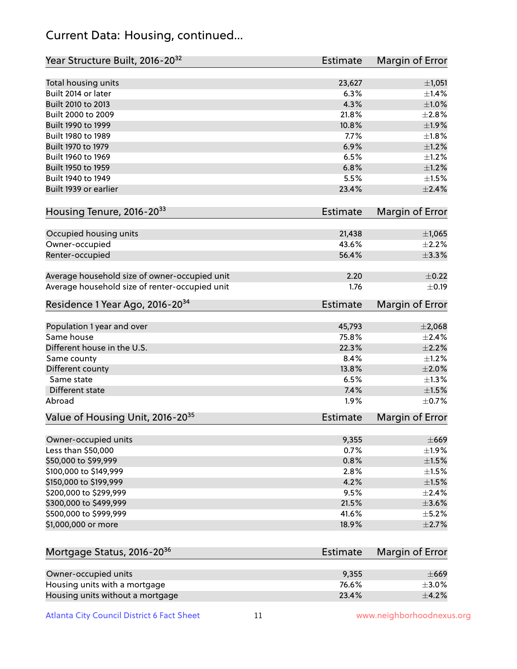## Current Data: Housing, continued...

| Year Structure Built, 2016-20 <sup>32</sup>    | <b>Estimate</b> | Margin of Error |
|------------------------------------------------|-----------------|-----------------|
| Total housing units                            | 23,627          | ±1,051          |
| Built 2014 or later                            | 6.3%            | $\pm$ 1.4%      |
| Built 2010 to 2013                             | 4.3%            | $\pm 1.0\%$     |
| Built 2000 to 2009                             | 21.8%           | $\pm 2.8\%$     |
| Built 1990 to 1999                             | 10.8%           | ±1.9%           |
| Built 1980 to 1989                             | 7.7%            | $\pm 1.8\%$     |
| Built 1970 to 1979                             | 6.9%            | $\pm 1.2\%$     |
| Built 1960 to 1969                             | 6.5%            | $\pm 1.2\%$     |
| Built 1950 to 1959                             | 6.8%            | $\pm 1.2\%$     |
| Built 1940 to 1949                             | 5.5%            | $\pm 1.5\%$     |
| Built 1939 or earlier                          | 23.4%           | $\pm 2.4\%$     |
| Housing Tenure, 2016-2033                      | Estimate        | Margin of Error |
|                                                |                 |                 |
| Occupied housing units                         | 21,438          | $\pm$ 1,065     |
| Owner-occupied                                 | 43.6%           | $\pm 2.2\%$     |
| Renter-occupied                                | 56.4%           | $\pm$ 3.3%      |
|                                                |                 |                 |
| Average household size of owner-occupied unit  | 2.20            | $\pm$ 0.22      |
| Average household size of renter-occupied unit | 1.76            | $\pm$ 0.19      |
| Residence 1 Year Ago, 2016-20 <sup>34</sup>    | Estimate        | Margin of Error |
| Population 1 year and over                     | 45,793          | ±2,068          |
| Same house                                     | 75.8%           | $\pm 2.4\%$     |
| Different house in the U.S.                    | 22.3%           | $\pm 2.2\%$     |
| Same county                                    | 8.4%            | $\pm 1.2\%$     |
| Different county                               | 13.8%           | $\pm 2.0\%$     |
| Same state                                     | 6.5%            | $\pm 1.3\%$     |
| <b>Different state</b>                         | 7.4%            | $\pm1.5\%$      |
| Abroad                                         | 1.9%            | $\pm$ 0.7%      |
| Value of Housing Unit, 2016-20 <sup>35</sup>   | <b>Estimate</b> | Margin of Error |
|                                                |                 |                 |
| Owner-occupied units                           | 9,355           | $\pm$ 669       |
| Less than \$50,000                             | 0.7%            | $\pm$ 1.9%      |
| \$50,000 to \$99,999                           | 0.8%            | $\pm 1.5\%$     |
| \$100,000 to \$149,999                         | 2.8%            | $\pm 1.5\%$     |
| \$150,000 to \$199,999                         | 4.2%            | $\pm 1.5\%$     |
| \$200,000 to \$299,999                         | 9.5%            | $\pm 2.4\%$     |
| \$300,000 to \$499,999                         | 21.5%           | $\pm 3.6\%$     |
| \$500,000 to \$999,999                         | 41.6%           | $\pm$ 5.2%      |
| \$1,000,000 or more                            | 18.9%           | $\pm 2.7\%$     |
|                                                |                 |                 |
| Mortgage Status, 2016-20 <sup>36</sup>         | Estimate        | Margin of Error |
| Owner-occupied units                           | 9,355           | $\pm$ 669       |
| Housing units with a mortgage                  | 76.6%           | $\pm 3.0\%$     |
| Housing units without a mortgage               | 23.4%           | $\pm$ 4.2%      |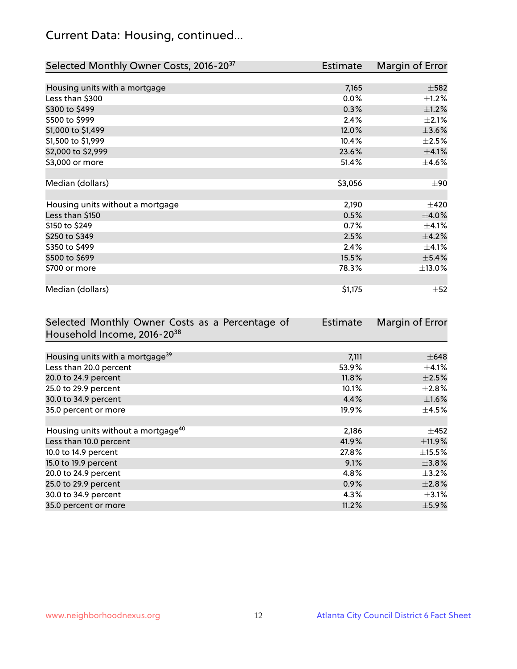# Current Data: Housing, continued...

| Selected Monthly Owner Costs, 2016-20 <sup>37</sup> | Estimate | Margin of Error |
|-----------------------------------------------------|----------|-----------------|
|                                                     |          |                 |
| Housing units with a mortgage                       | 7,165    | $\pm$ 582       |
| Less than \$300                                     | 0.0%     | $\pm 1.2\%$     |
| \$300 to \$499                                      | 0.3%     | $\pm$ 1.2%      |
| \$500 to \$999                                      | 2.4%     | $\pm 2.1\%$     |
| \$1,000 to \$1,499                                  | 12.0%    | $\pm 3.6\%$     |
| \$1,500 to \$1,999                                  | 10.4%    | $\pm 2.5\%$     |
| \$2,000 to \$2,999                                  | 23.6%    | $\pm$ 4.1%      |
| \$3,000 or more                                     | 51.4%    | $\pm$ 4.6%      |
|                                                     |          |                 |
| Median (dollars)                                    | \$3,056  | $\pm 90$        |
|                                                     |          |                 |
| Housing units without a mortgage                    | 2,190    | $\pm 420$       |
| Less than \$150                                     | 0.5%     | $\pm$ 4.0%      |
| \$150 to \$249                                      | 0.7%     | $\pm$ 4.1%      |
| \$250 to \$349                                      | 2.5%     | ±4.2%           |
| \$350 to \$499                                      | 2.4%     | $\pm 4.1\%$     |
| \$500 to \$699                                      | 15.5%    | ±5.4%           |
| \$700 or more                                       | 78.3%    | ±13.0%          |
|                                                     |          |                 |
| Median (dollars)                                    | \$1,175  | $\pm$ 52        |

| Selected Monthly Owner Costs as a Percentage of | <b>Estimate</b> | Margin of Error |
|-------------------------------------------------|-----------------|-----------------|
| Household Income, 2016-20 <sup>38</sup>         |                 |                 |
|                                                 |                 |                 |
| Housing units with a mortgage <sup>39</sup>     | 7,111           | $\pm$ 648       |
| Less than 20.0 percent                          | 53.9%           | $\pm$ 4.1%      |
| 20.0 to 24.9 percent                            | 11.8%           | $\pm 2.5\%$     |
| 25.0 to 29.9 percent                            | 10.1%           | $\pm 2.8\%$     |
| 30.0 to 34.9 percent                            | 4.4%            | $\pm 1.6\%$     |
| 35.0 percent or more                            | 19.9%           | $\pm$ 4.5%      |
|                                                 |                 |                 |
| Housing units without a mortgage <sup>40</sup>  | 2,186           | $\pm 452$       |
| Less than 10.0 percent                          | 41.9%           | ±11.9%          |
| 10.0 to 14.9 percent                            | 27.8%           | $\pm$ 15.5%     |
| 15.0 to 19.9 percent                            | 9.1%            | $\pm$ 3.8%      |
| 20.0 to 24.9 percent                            | 4.8%            | $\pm$ 3.2%      |
| 25.0 to 29.9 percent                            | 0.9%            | $\pm 2.8\%$     |
| 30.0 to 34.9 percent                            | 4.3%            | $\pm$ 3.1%      |
| 35.0 percent or more                            | 11.2%           | $\pm$ 5.9%      |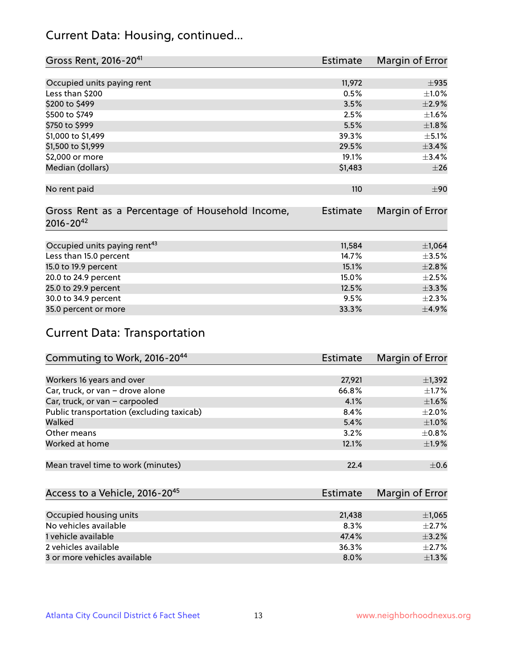## Current Data: Housing, continued...

| Gross Rent, 2016-20 <sup>41</sup>               | <b>Estimate</b> | Margin of Error |
|-------------------------------------------------|-----------------|-----------------|
|                                                 |                 |                 |
| Occupied units paying rent                      | 11,972          | $\pm$ 935       |
| Less than \$200                                 | 0.5%            | $\pm 1.0\%$     |
| \$200 to \$499                                  | 3.5%            | $\pm 2.9\%$     |
| \$500 to \$749                                  | 2.5%            | $\pm 1.6\%$     |
| \$750 to \$999                                  | 5.5%            | $\pm1.8\%$      |
| \$1,000 to \$1,499                              | 39.3%           | $\pm$ 5.1%      |
| \$1,500 to \$1,999                              | 29.5%           | ±3.4%           |
| \$2,000 or more                                 | 19.1%           | ±3.4%           |
| Median (dollars)                                | \$1,483         | ±26             |
|                                                 |                 |                 |
| No rent paid                                    | 110             | ±90             |
|                                                 |                 |                 |
| Gross Rent as a Percentage of Household Income, | <b>Estimate</b> | Margin of Error |
| $2016 - 20^{42}$                                |                 |                 |
|                                                 |                 |                 |
| Occupied units paying rent <sup>43</sup>        | 11,584          | ±1,064          |
| Less than 15.0 percent                          | 14.7%           | $\pm$ 3.5%      |
| 15.0 to 19.9 percent                            | 15.1%           | $\pm 2.8\%$     |
| 20.0 to 24.9 percent                            | 15.0%           | $\pm 2.5\%$     |
| 25.0 to 29.9 percent                            | 12.5%           | ±3.3%           |
| 30.0 to 34.9 percent                            | 9.5%            | $\pm 2.3\%$     |
| 35.0 percent or more                            | 33.3%           | $\pm$ 4.9%      |

# Current Data: Transportation

| Commuting to Work, 2016-20 <sup>44</sup>  | <b>Estimate</b> | Margin of Error |
|-------------------------------------------|-----------------|-----------------|
|                                           |                 |                 |
| Workers 16 years and over                 | 27,921          | $\pm$ 1,392     |
| Car, truck, or van - drove alone          | 66.8%           | $\pm 1.7\%$     |
| Car, truck, or van - carpooled            | 4.1%            | $\pm1.6\%$      |
| Public transportation (excluding taxicab) | 8.4%            | $\pm 2.0\%$     |
| Walked                                    | 5.4%            | $\pm1.0\%$      |
| Other means                               | 3.2%            | $\pm$ 0.8%      |
| Worked at home                            | 12.1%           | $\pm$ 1.9%      |
|                                           |                 |                 |
| Mean travel time to work (minutes)        | 22.4            | $\pm$ 0.6       |

| Access to a Vehicle, 2016-20 <sup>45</sup> | Estimate | Margin of Error |
|--------------------------------------------|----------|-----------------|
|                                            |          |                 |
| Occupied housing units                     | 21,438   | $\pm$ 1,065     |
| No vehicles available                      | 8.3%     | $+2.7%$         |
| 1 vehicle available                        | 47.4%    | $\pm$ 3.2%      |
| 2 vehicles available                       | 36.3%    | $+2.7%$         |
| 3 or more vehicles available               | 8.0%     | $+1.3%$         |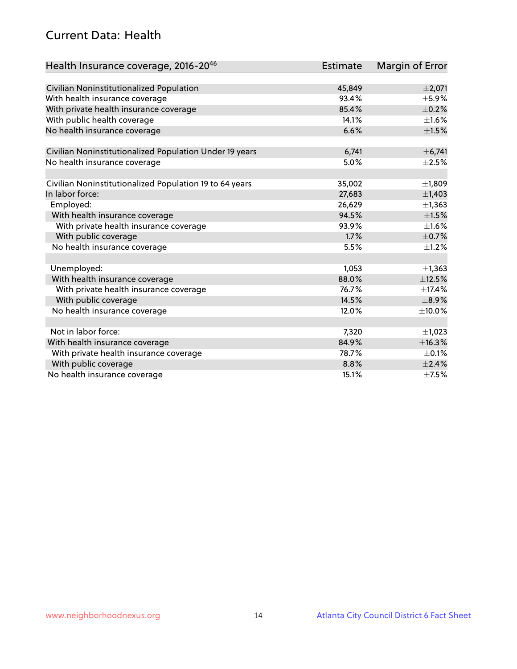## Current Data: Health

| Health Insurance coverage, 2016-2046                    | <b>Estimate</b> | Margin of Error |
|---------------------------------------------------------|-----------------|-----------------|
|                                                         |                 |                 |
| Civilian Noninstitutionalized Population                | 45,849          | $\pm 2,071$     |
| With health insurance coverage                          | 93.4%           | $\pm$ 5.9%      |
| With private health insurance coverage                  | 85.4%           | $\pm$ 0.2%      |
| With public health coverage                             | 14.1%           | $\pm 1.6\%$     |
| No health insurance coverage                            | 6.6%            | $\pm 1.5\%$     |
| Civilian Noninstitutionalized Population Under 19 years | 6,741           | ± 6,741         |
| No health insurance coverage                            | 5.0%            | $\pm 2.5\%$     |
|                                                         |                 |                 |
| Civilian Noninstitutionalized Population 19 to 64 years | 35,002          | ±1,809          |
| In labor force:                                         | 27,683          | $\pm$ 1,403     |
| Employed:                                               | 26,629          | $\pm$ 1,363     |
| With health insurance coverage                          | 94.5%           | $\pm 1.5\%$     |
| With private health insurance coverage                  | 93.9%           | $\pm 1.6\%$     |
| With public coverage                                    | 1.7%            | $\pm$ 0.7%      |
| No health insurance coverage                            | 5.5%            | $\pm 1.2\%$     |
|                                                         |                 |                 |
| Unemployed:                                             | 1,053           | $\pm$ 1,363     |
| With health insurance coverage                          | 88.0%           | ±12.5%          |
| With private health insurance coverage                  | 76.7%           | ±17.4%          |
| With public coverage                                    | 14.5%           | $\pm$ 8.9%      |
| No health insurance coverage                            | 12.0%           | $\pm$ 10.0%     |
|                                                         |                 |                 |
| Not in labor force:                                     | 7,320           | $\pm$ 1,023     |
| With health insurance coverage                          | 84.9%           | ±16.3%          |
| With private health insurance coverage                  | 78.7%           | $\pm$ 0.1%      |
| With public coverage                                    | 8.8%            | ±2.4%           |
| No health insurance coverage                            | 15.1%           | $\pm$ 7.5%      |